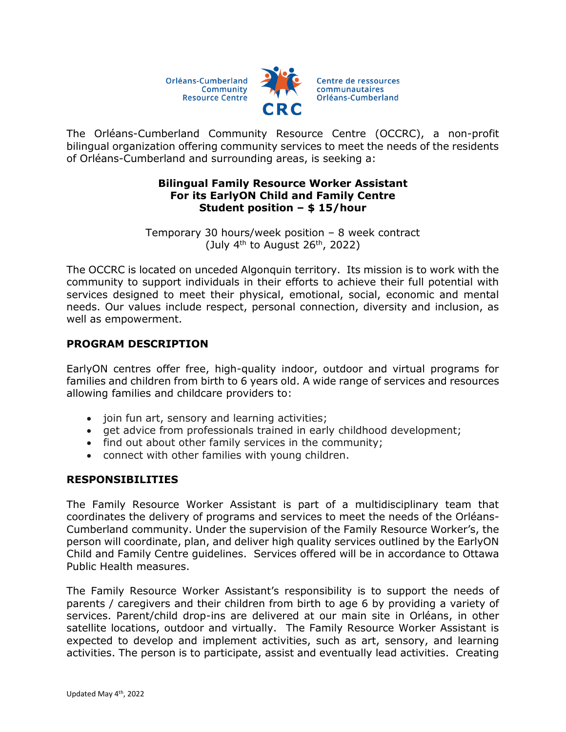Orléans-Cumberland Community **Resource Centre** 



The Orléans-Cumberland Community Resource Centre (OCCRC), a non-profit bilingual organization offering community services to meet the needs of the residents of Orléans-Cumberland and surrounding areas, is seeking a:

## **Bilingual Family Resource Worker Assistant For its EarlyON Child and Family Centre Student position – \$ 15/hour**

Temporary 30 hours/week position – 8 week contract (July  $4<sup>th</sup>$  to August 26<sup>th</sup>, 2022)

The OCCRC is located on unceded Algonquin territory. Its mission is to work with the community to support individuals in their efforts to achieve their full potential with services designed to meet their physical, emotional, social, economic and mental needs. Our values include respect, personal connection, diversity and inclusion, as well as empowerment.

# **PROGRAM DESCRIPTION**

EarlyON centres offer free, high-quality indoor, outdoor and virtual programs for families and children from birth to 6 years old. A wide range of services and resources allowing families and childcare providers to:

- join fun art, sensory and learning activities;
- get advice from professionals trained in early childhood development;
- find out about other family services in the community;
- connect with other families with young children.

## **RESPONSIBILITIES**

The Family Resource Worker Assistant is part of a multidisciplinary team that coordinates the delivery of programs and services to meet the needs of the Orléans-Cumberland community. Under the supervision of the Family Resource Worker's, the person will coordinate, plan, and deliver high quality services outlined by the EarlyON Child and Family Centre guidelines. Services offered will be in accordance to Ottawa Public Health measures.

The Family Resource Worker Assistant's responsibility is to support the needs of parents / caregivers and their children from birth to age 6 by providing a variety of services. Parent/child drop-ins are delivered at our main site in Orléans, in other satellite locations, outdoor and virtually. The Family Resource Worker Assistant is expected to develop and implement activities, such as art, sensory, and learning activities. The person is to participate, assist and eventually lead activities. Creating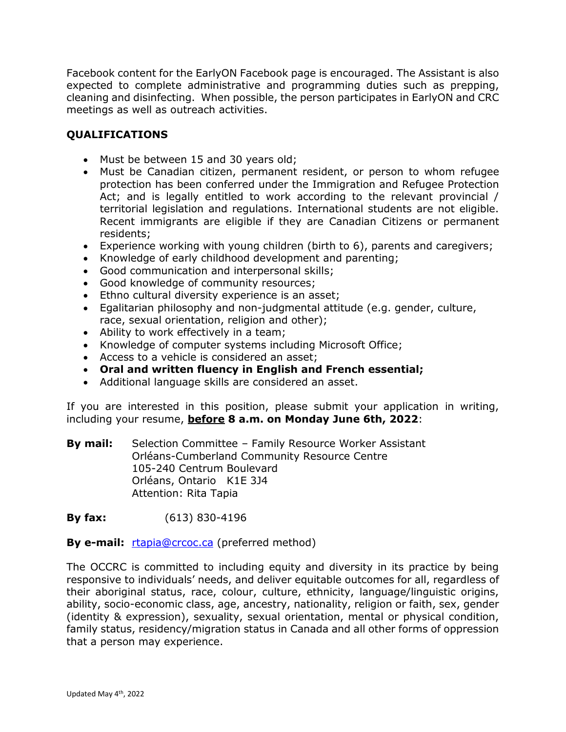Facebook content for the EarlyON Facebook page is encouraged. The Assistant is also expected to complete administrative and programming duties such as prepping, cleaning and disinfecting. When possible, the person participates in EarlyON and CRC meetings as well as outreach activities.

# **QUALIFICATIONS**

- Must be between 15 and 30 years old;
- Must be Canadian citizen, permanent resident, or person to whom refugee protection has been conferred under the Immigration and Refugee Protection Act; and is legally entitled to work according to the relevant provincial / territorial legislation and regulations. International students are not eligible. Recent immigrants are eligible if they are Canadian Citizens or permanent residents;
- Experience working with young children (birth to 6), parents and caregivers;
- Knowledge of early childhood development and parenting;
- Good communication and interpersonal skills;
- Good knowledge of community resources;
- **Ethno cultural diversity experience is an asset;**
- Egalitarian philosophy and non-judgmental attitude (e.g. gender, culture, race, sexual orientation, religion and other);
- Ability to work effectively in a team;
- Knowledge of computer systems including Microsoft Office;
- Access to a vehicle is considered an asset;
- **Oral and written fluency in English and French essential;**
- Additional language skills are considered an asset.

If you are interested in this position, please submit your application in writing, including your resume, **before 8 a.m. on Monday June 6th, 2022**:

**By mail:** Selection Committee – Family Resource Worker Assistant Orléans-Cumberland Community Resource Centre 105-240 Centrum Boulevard Orléans, Ontario K1E 3J4 Attention: Rita Tapia

**By fax:** (613) 830-4196

## **By e-mail:** <u>[rtapia@crcoc.ca](mailto:rtapia@crcoc.ca)</u> (preferred method)

The OCCRC is committed to including equity and diversity in its practice by being responsive to individuals' needs, and deliver equitable outcomes for all, regardless of their aboriginal status, race, colour, culture, ethnicity, language/linguistic origins, ability, socio-economic class, age, ancestry, nationality, religion or faith, sex, gender (identity & expression), sexuality, sexual orientation, mental or physical condition, family status, residency/migration status in Canada and all other forms of oppression that a person may experience.